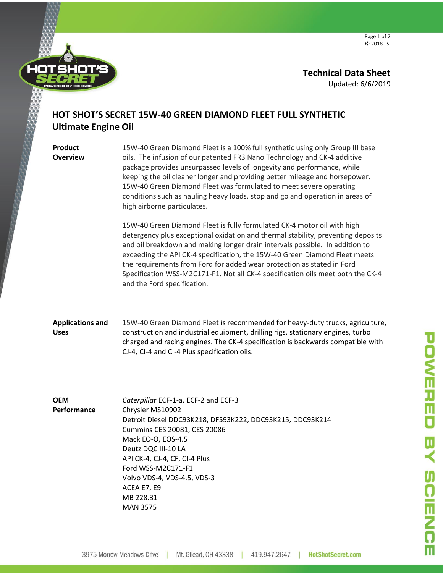

Page 1 of 2 **©** 2018 LSI

## **Technical Data Sheet**

Updated: 6/6/2019

## **HOT SHOT'S SECRET 15W-40 GREEN DIAMOND FLEET FULL SYNTHETIC Ultimate Engine Oil**

**Product Overview** 15W-40 Green Diamond Fleet is a 100% full synthetic using only Group III base oils. The infusion of our patented FR3 Nano Technology and CK-4 additive package provides unsurpassed levels of longevity and performance, while keeping the oil cleaner longer and providing better mileage and horsepower. 15W-40 Green Diamond Fleet was formulated to meet severe operating conditions such as hauling heavy loads, stop and go and operation in areas of high airborne particulates.

15W-40 Green Diamond Fleet is fully formulated CK-4 motor oil with high detergency plus exceptional oxidation and thermal stability, preventing deposits and oil breakdown and making longer drain intervals possible. In addition to exceeding the API CK-4 specification, the 15W-40 Green Diamond Fleet meets the requirements from Ford for added wear protection as stated in Ford Specification WSS-M2C171-F1. Not all CK-4 specification oils meet both the CK-4 and the Ford specification.

**Applications and Uses** 15W-40 Green Diamond Fleet is recommended for heavy-duty trucks, agriculture, construction and industrial equipment, drilling rigs, stationary engines, turbo charged and racing engines. The CK-4 specification is backwards compatible with CJ-4, CI-4 and CI-4 Plus specification oils.

**OEM Performance**

*Caterpilla*r ECF-1-a, ECF-2 and ECF-3 Chrysler MS10902 Detroit Diesel DDC93K218, DFS93K222, DDC93K215, DDC93K214 Cummins CES 20081, CES 20086 Mack EO-O, EOS-4.5 Deutz DQC III-10 LA API CK-4, CJ-4, CF, CI-4 Plus Ford WSS-M2C171-F1 Volvo VDS-4, VDS-4.5, VDS-3 ACEA E7, E9 MB 228.31 MAN 3575